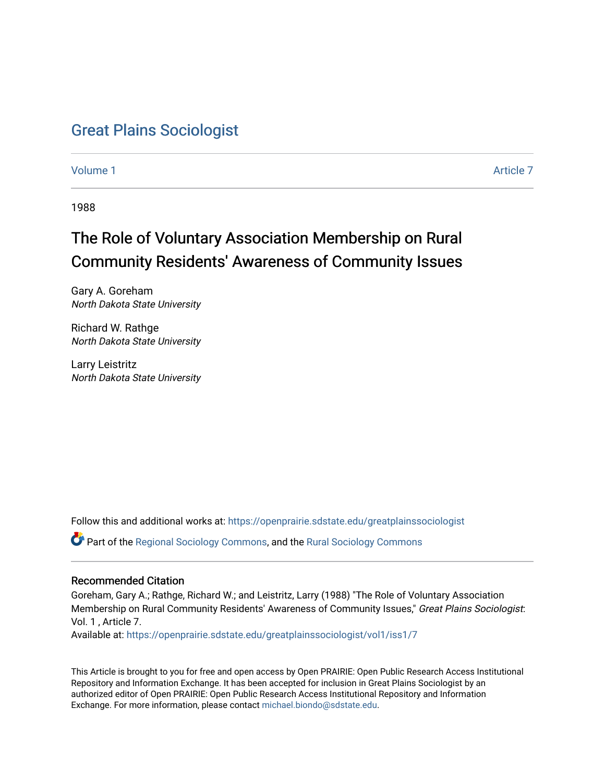## [Great Plains Sociologist](https://openprairie.sdstate.edu/greatplainssociologist)

[Volume 1](https://openprairie.sdstate.edu/greatplainssociologist/vol1) Article 7

1988

# The Role of Voluntary Association Membership on Rural Community Residents' Awareness of Community Issues

Gary A. Goreham North Dakota State University

Richard W. Rathge North Dakota State University

Larry Leistritz North Dakota State University

Follow this and additional works at: [https://openprairie.sdstate.edu/greatplainssociologist](https://openprairie.sdstate.edu/greatplainssociologist?utm_source=openprairie.sdstate.edu%2Fgreatplainssociologist%2Fvol1%2Fiss1%2F7&utm_medium=PDF&utm_campaign=PDFCoverPages) 

Part of the [Regional Sociology Commons](http://network.bepress.com/hgg/discipline/427?utm_source=openprairie.sdstate.edu%2Fgreatplainssociologist%2Fvol1%2Fiss1%2F7&utm_medium=PDF&utm_campaign=PDFCoverPages), and the [Rural Sociology Commons](http://network.bepress.com/hgg/discipline/428?utm_source=openprairie.sdstate.edu%2Fgreatplainssociologist%2Fvol1%2Fiss1%2F7&utm_medium=PDF&utm_campaign=PDFCoverPages) 

### Recommended Citation

Goreham, Gary A.; Rathge, Richard W.; and Leistritz, Larry (1988) "The Role of Voluntary Association Membership on Rural Community Residents' Awareness of Community Issues," Great Plains Sociologist: Vol. 1 , Article 7.

Available at: [https://openprairie.sdstate.edu/greatplainssociologist/vol1/iss1/7](https://openprairie.sdstate.edu/greatplainssociologist/vol1/iss1/7?utm_source=openprairie.sdstate.edu%2Fgreatplainssociologist%2Fvol1%2Fiss1%2F7&utm_medium=PDF&utm_campaign=PDFCoverPages) 

This Article is brought to you for free and open access by Open PRAIRIE: Open Public Research Access Institutional Repository and Information Exchange. It has been accepted for inclusion in Great Plains Sociologist by an authorized editor of Open PRAIRIE: Open Public Research Access Institutional Repository and Information Exchange. For more information, please contact [michael.biondo@sdstate.edu.](mailto:michael.biondo@sdstate.edu)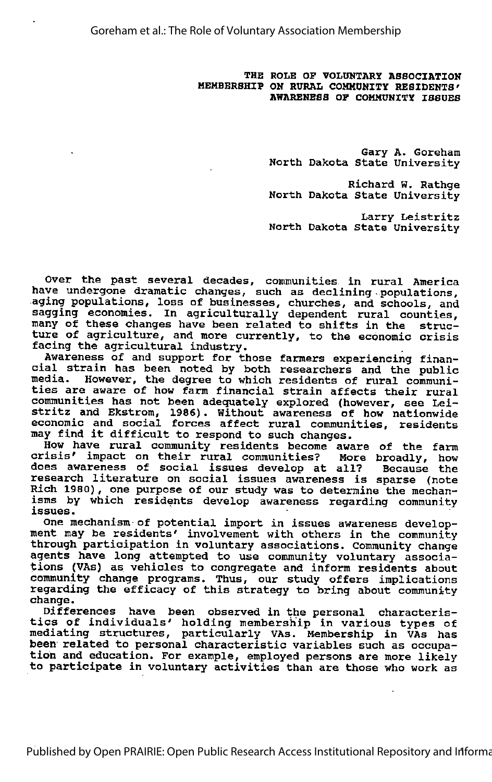THE ROLE OP VOLUNTARY ASSOCIATION MEMBERSHIP ON RURAL COMMUNITY RESIDENTS' AWARENESS OF COMMUNITY ISSUES

> Gary A. Goreham North Dakota State University

> Richard W. Rathge North Dakota State University

> Larry Leistritz North Dakota State University

Over the past several decades, communities in rural America have undergone dramatic changes, such as declining-populations, aging populations, loss of businesses, churches, and schools, and sagging economies. In agriculturally dependent rural counties, Enging commenced in agriculating dependent fural counties ture of agriculture, and more currently, to the economic crisis facing the agricultural industry.

Awareness of and support for those farmers experiencing finan cial strain has been noted by both researchers and the public media. However, the degree to which residents dim the public<br>ties are aware of how farm financial strain affects their rural communities has not been adequately explored (however, see Lei stritz and Ekstrom, 1986). Without awareness of how nationwide economic and social forces affect rural communities, residents may find it difficult to respond to such changes.

How have rural community residents become aware of the farm crisis' impact on their rural communities? More broadly, how does awareness of social issues develop at all? research literature on social issues awareness is sparse (note Rich 1980), one purpose of our study was to determine the mechanisms by which residents develop awareness regarding community issues.

One mechanism-of potential import in issues awareness develop ment may be residents' involvement with others in the community through participation in voluntary associations. Community change agents have long attempted to use community voluntary associa tions (VAs) as vehicles to congregate and inform residents about community change programs. Thus, our study offers implications regarding the efficacy of this strategy to bring about community change.

Differences have been observed in the personal characteris tics of individuals' holding membership in various types of mediating structures, particularly VAs. Membership in VAs has been related to personal characteristic variables such as occupa tion and education. For example, employed persons are more likely to participate in voluntary activities than are those who work as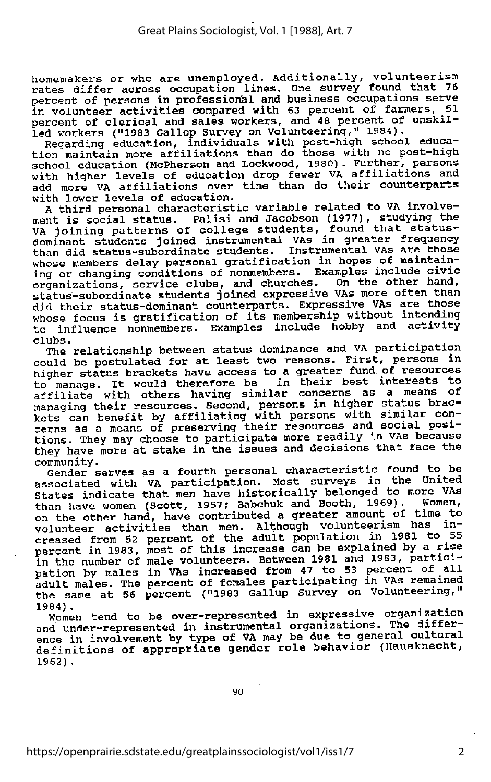homemakers or who are unemployed. Additionally; volunteerism rates differ across occupation lines. One survey found that 76 percent of persons in professional and business occupations serve in volunteer activities compared with <sup>63</sup> percent of farmers, 51 percent of clerical and sales workers, and 48 percent of unskilled workers ("1983 Gallop Survey on Volunteering," 1984).

Regarding education, individuals with post-high school educa tion maintain more affiliations than do those with no post-high school education (McPherson and Lockwood, 1980). Further, persons with higher levels of education drop fewer VA affiliations and add more VA affiliations over time than do their counterparts with lower levels of education.

A third personal characteristic variable related to VA involve ment is social status. Palisi and Jacobson (1977), studying the WA joining patterns of college students, found that statusdominant students joined instrumental VAs in greater frequency than did status-subordinate students. Instrumental VAs are those whose members delay personal gratification in hopes of maintaining or changing conditions of nonmembers. Examples include civic organizations, service clubs, and churches. On the other hand, status-subordinate students joined expressive VAs more often than did their status-dominant counterparts. Expressive VAs are those whose focus is gratification of its membership without intending to influence nonmembers. Examples include hobby and activity<br>clubs. clubs. The contract of the contract of the contract of the contract of the contract of the contract of the contract of the contract of the contract of the contract of the contract of the contract of the contract of the con

The relationship between status dominance and VA participation could be postulated for at least two reasons. First, persons in higher status brackets have access to a greater fund of resources<br>to manage. It would therefore be in their best interests to In their best and therefore be in their best interests to manage. It would therefore be in their best interests to affiliate with others having similar concerns as a means of managing their resources. Second, persons in higher status brac kets can benefit by affiliating with persons with similar con cerns as a means of preserving their resources and social posi-<br>tions. They may choose to participate more readily in VAs because they have more at stake in the issues and decisions that face the<br>community.<br>Community.

Gender serves as a fourth personal characteristic found to be associated with VA participation. Most surveys in the United states indicate that men have historically belonged to more VAs than have women (Scott, 1957; Babchuk and Booth, 1969). Women, on the other hand, have contributed a greater amount of time to volunteer activities than men. Although volunteerism has in creased from 52 percent of the adult population in 1981 to 55 percent in 1983, most of this increase can be explained by a rise<br>percent in 1983, most of this increase can be explained by a riticiin the number of male volunteers. Between 1981 and 1983, partici-<br>pation by males in VAs increased from 47 to 53 percent of all edult males. The percent of females participating in VAs remained the same at 56 percent ("1983 Gallup Survey on Volunteering,"

1984).<br>Women tend to be over-represented in expressive organization women tend to be over-represented in instrumental organizations. The difference in involvement by type of VA may be due to general cultural definitions of appropriate gender role behavior (Hausknecht, 1962).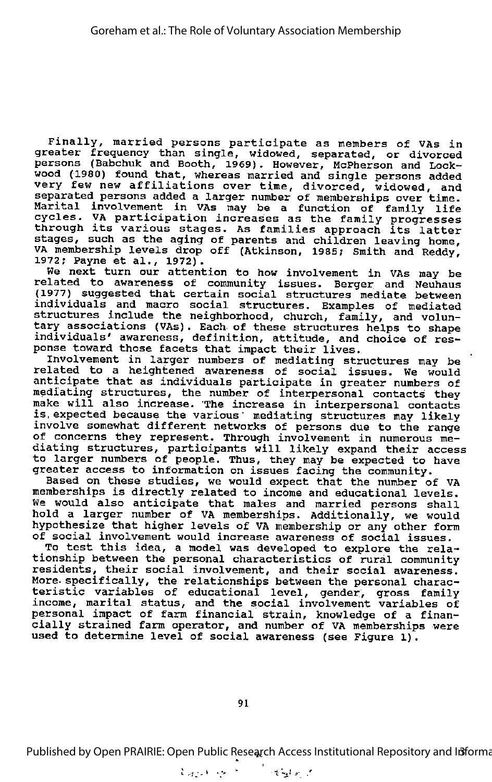Finally, married persons participate as members of VAs in greater frequency than single, widowed, separated, or divorced persons (Babchuk and Booth, 1969). However, McPherson and Lockwood (1980) found that, whereas married and single persons added very few new affiliations over time, divorced, widowed, and separated persons added a larger number of memberships over time. Marital involvement in VAs may be a function of family life cycles. VA participation increases as the family progresses through its various stages. As families approach its latter stages, such as the aging of parents and children leaving home, VA membership levels drop off (Atkinson, 1985; Smith and Reddy, 1972; Payne et al., 1972).

We next turn our attention to how involvement in VAs may be related to awareness of community issues. Berger and Neuhaus (1977) suggested that certain social structures mediate between individuals and macro social structures. Examples of mediated structures include the neighborhood, church, family, and volun tary associations (VAs). Each of these structures helps to shape individuals' awareness, definition, attitude, and choice of res ponse toward those facets that impact their lives.

Involvement in larger numbers of mediating structures may be related to <sup>a</sup> heightened awareness of social issues. We would anticipate that as individuals participate in greater numbers of mediating structures, the number of interpersonal contacts they make will also increase. The increase in interpersonal contacts<br>is expected because the various mediating structures may likely involve somewhat different networks of persons due to the range of concerns they represent. Through involvement in numerous me diating structures, participants will likely expand their access to larger numbers of people. Thus, they may be expected to have greater access to information on issues facing the community.

Based on these studies, we would expect that the number of VA memberships is directly related to income and educational levels. We would also anticipate that males and married persons shall hold a larger number of VA memberships. Additionally, we would hypothesize that higher levels of VA membership or any other form of social involvement would increase awareness of social issues.

To test this idea, <sup>a</sup> model was developed to explore the rela tionship between the personal characteristics of rural community residents, their social involvement, and their social awareness. More- specifically, the relationships between the personal charac teristic variables of educational level, gender, gross family income, marital status, and the social involvement variables of personal impact of farm financial strain, knowledge of a finan cially strained farm operator, and number of VA memberships were used to determine level of social awareness (see Figure 1).

Published by Open PRAIRIE: Open Public Research Access Institutional Repository and Informa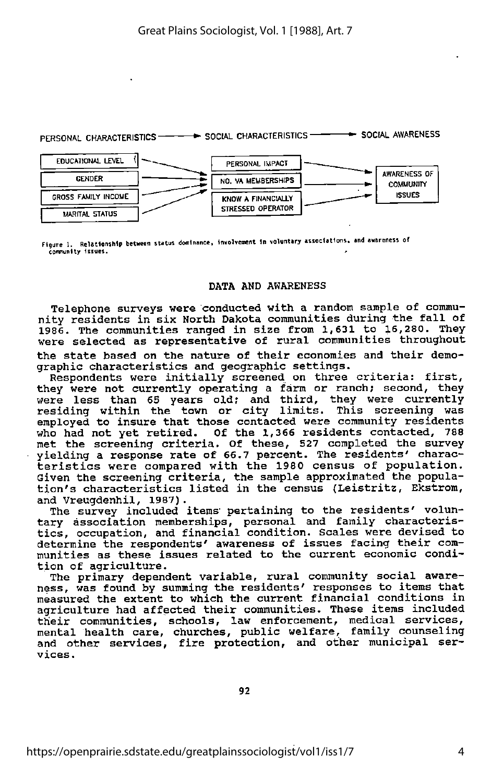#### PERSONAL CHARACTERISTICS-SOCIAL CHARACTERISTICS SOCIAL AWARENESS



Figure 1. Relationship between status dooinanee, involvement In voluntary associations, and awareness of community issues.

#### DATA AND AWARENESS

Telephone surveys were conducted with <sup>a</sup> random sample of commu nity residents in six North Dakota communities during the fall of 1986. The communities ranged in size from 1,631 to 16,280. They were selected as representative of rural communities throughout the state based on the nature of their economies and their demo graphic characteristics and geographic settings.

Respondents were initially screened on three criteria: first, they were not currently operating a farm or ranch; second, they were less than 65 years old; and third, they were currently residing within the town or city limits. This screening was employed to insure that those contacted were community residents who had not yet retired. Of the 1,366 residents contacted, 788 met the screening criteria. Of these, 527 completed the survey yielding a response rate of 66.7 percent. The residents' charac teristics were compared with the 1980 census of population. Given the screening criteria, the sample approximated the popula tion's characteristics listed in the census (Leistritz, Ekstrom, and Vreugdenhil, 1987).

The survey included items' pertaining to the residents' volun tary association memberships, personal and family characteris tics, occupation, and financial condition. Scales were devised to determine the respondents' awareness of issues facing their communities as these issues related to the current economic condi-

tion of agriculture.<br>The primary dependent variable, rural community social awareness, was found by summing the residents' responses to items that measured the extent to which the current financial conditions in agriculture had affected their communities. These items included their communities, schools, law enforcement, medical services, mental health care, churches, public welfare, family counseling and other services, fire protection, and other municipal ser vices.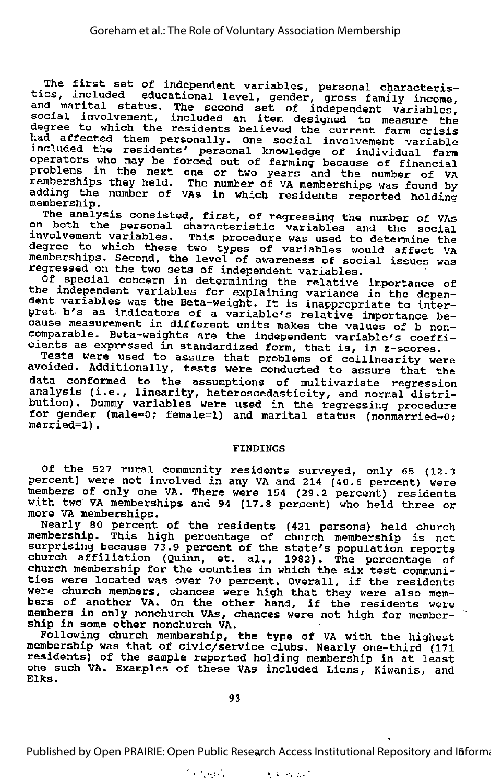The first set of independent variables, personal characteris tics, included educational level, gender, gross family income,<br>tics, included educational level, gender, gross family income,<br>and marital status. The second set of independent variables, social involvement, included an item designed to measure the degree to which the residents believed the current farm crisis had affected them personally. One social involvement variable included the residents' personal knowledge of individual farm operators who may be forced out of farming because of financial problems in the next one or two years and the number of VA memberships they held. The number of VA memberships was found by adding the number of VAs in which residents reported holding membership.

The analysis consisted, first, of regressing the number of VAs on both the personal characteristic variables and the social involvement variables. This procedure was used to determine the degree to which these two types of variables would affect VA memberships. Second, the level of awareness of social issues was regressed on the two sets of independent variables.

of special concern in determining the relative importance of the independent variables for explaining variance in the depen dent variables was the Beta-weight. It is inappropriate to inter dent variables was the Beta-weight. It is inappropriate to inter-<br>pret b's as indicators of a variable's relative importance because measurement in different units makes the values of b noncomparable. Beta-weights are the independent variable's coeffi cients as expressed in standardized form, that is, in z-scores.

Tests were used to assure that problems of collinearity were avoided. Additionally, tests were conducted to assure that the data conformed to the assumptions of multivariate regression analysis (i.e., linearity, heteroscedasticity, and normal distri bution) , Dummy variables were used in the regressing procedure for gender (male=0; female=l) and marital status (nonmarried=0; married=l).

#### FINDINGS

Of the 527 rural community residents surveyed, only 65 (12.3 percent) were not involved in any VA and 214 (40.6 percent) were members of only one VA. There were 154 (29.2 percent) residents with two VA memberships and <sup>94</sup> (17.8 percent) who held three or more VA memberships.

Nearly 80 percent of the residents (421 persons) held church membership. This high percentage of church membership is not surprising because 73.9 percent of the state's population reports church affiliation (Quinn, et. al., 1982). The percentage of church affiliation (Quinn, et. al., 1982). The percentage of church membership for the counties in which the six test communities were located was over <sup>70</sup> percent. Overall, if the residents were church members, chances were high that they were also mem bers of another VA. On the other hand, if the residents were members in only nonchurch VAs, chances were not high for member ship in some other nonchurch VA.

Following church membership, the type of VA with the highest membership was that of civic/service clubs. Nearly one-third (171 residents) of the sample reported holding membership in at least one such VA. Examples of these VAs included Lions, Kiwanis, and Elks.

Published by Open PRAIRIE: Open Public Research Access Institutional Repository and Ififorma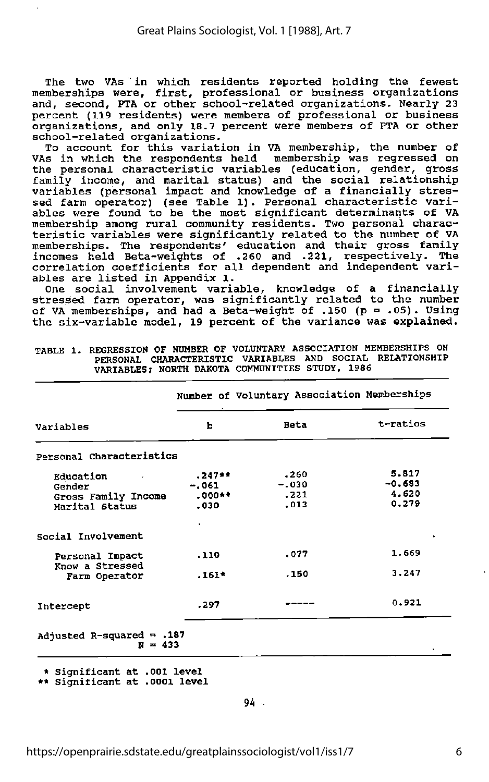The two VAs in which residents reported holding the fewest memberships were, first, professional or business organizations and, second, PTA or other school-related organizations. Nearly 23 percent (119 residents) were members of professional or business organizations, and only 18.7 percent were members of PTA or other school-related organizations.

To account for this variation in VA membership, the number of VAs in which the respondents held membership was regressed on the personal characteristic variables (education, gender, gross family income, and marital status) and the social relationship variables (personal impact and knowledge of <sup>a</sup> financially stres sed farm operator) (see Table 1). Personal characteristic vari ables were found to be the most significant determinants of VA membership among rural community residents. Two personal characteristic variables were significantly related to the number of VA memberships. The respondents' education and their gross family incomes held Beta-weights of .260 and .221, respectively. The correlation coefficients for all dependent and independent vari ables are listed in Appendix 1.

One social involvement variable, knowledge of <sup>a</sup> financially stressed farm operator, was significantly related to the number of VA memberships, and had a Beta-weight of .150  $(p = .05)$ . Using the six-variable model, 19 percent of the variance was explained.

|                                                              |                                       | Number of Voluntary Association Memberships |                                     |  |
|--------------------------------------------------------------|---------------------------------------|---------------------------------------------|-------------------------------------|--|
| Variables                                                    | ь                                     | <b>Beta</b>                                 | t-ratios                            |  |
| Personal Characteristics                                     |                                       |                                             |                                     |  |
| Education<br>Gender<br>Gross Family Income<br>Marital Status | $.247**$<br>-.061<br>$.000**$<br>.030 | .260<br>$-.030$<br>.221<br>.013             | 5.817<br>$-0.683$<br>4.620<br>0.279 |  |
| Social Involvement                                           |                                       |                                             |                                     |  |
| Personal Impact<br>Know a Stressed                           | .110                                  | .077                                        | 1.669                               |  |
| Farm Operator                                                | $.161*$                               | .150                                        | 3.247                               |  |
| Intercept                                                    | .297                                  |                                             | 0.921                               |  |
| Adjusted R-squared $= .187$<br>$N = 433$                     |                                       |                                             |                                     |  |

TABLE 1. REGRESSION OF NUMBER OF VOLUNTARY ASSOCIATION MEMBERSHIPS ON PERSONAL CHARACTERISTIC VARIABLES AND SOCIAL RELATIONSHIP VARIABLES? NORTH DAKOTA COMMUNITIES STUDY, 1986

\* Significant at .001 level

\*\* Significant at .0001 level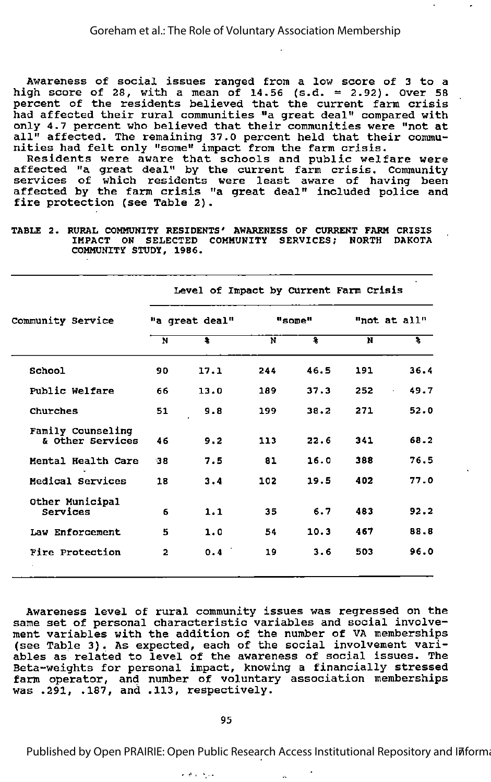Awareness of social issues ranged from <sup>a</sup> low score of <sup>3</sup> to <sup>a</sup> high score of 28, with a mean of 14.56 (s.d. = 2.92). Over 58 percent of the residents believed that the current farm crisis had affected their rural communities "a great deal" compared with only 4.7 percent who believed that their communities were "not at all" affected. The remaining 37.0 percent held that their commu nities had felt only "some" impact from the farm crisis.

Residents were aware that schools and public welfare were affected "a great deal" by the current farm crisis. Community services of which residents were least aware of having been affected by the farm crisis "a great deal" included police and fire protection (see Table 2).

TABLE 2. RURAL COMMUNITY RESIDENTS' AWARENESS OF CURRENT FARM CRISIS IMPACT ON SELECTED COMMUNITY SERVICES; NORTH DAKOTA COMMUNITY STUDY, 1986.

Level of Impact by Current Farm Crisis

| Community Service                     | "a great deal" |      | "some" |      | "not at all" |            |  |
|---------------------------------------|----------------|------|--------|------|--------------|------------|--|
|                                       | N              | 耄    | N      | হ    | N            | १          |  |
| School                                | 90             | 17.1 | 244    | 46.5 | 191          | 36.4       |  |
| Public Welfare                        | 66             | 13.0 | 189    | 37.3 | 252          | 49.7<br>ò. |  |
| Churches                              | 51             | 9.8  | 199    | 38.2 | 271          | 52.0       |  |
| Family Counseling<br>& Other Services | 46             | 9.2  | 113    | 22.6 | 341          | 68.2       |  |
| Mental Health Care                    | 38             | 7.5  | 81     | 16.0 | 388          | 76.5       |  |
| Medical Services                      | 18             | 3.4  | 102    | 19.5 | 402          | 77.0       |  |
| Other Municipal<br>Services           | 6              | 1.1  | 35     | 6.7  | 483          | 92.2       |  |
| Law Enforcement                       | 5              | 1.0  | 54     | 10.3 | 467          | 88.8       |  |
| Fire Protection                       | $\overline{2}$ | 0.4  | 19     | 3.6  | 503          | 96.0       |  |

Awareness level of rural community issues was regressed on the same set of personal characteristic variables and social involve ment variables with the addition of the number of VA memberships (see Table 3). As expected, each of the social involvement vari ables as related to level of the awareness of social issues. The Beta-weights for personal impact, knowing a financially stressed farm operator, and number of voluntary association memberships was .291, .187, and .113, respectively.

#### 95

Published by Open PRAIRIE: Open Public Research Access Institutional Repository and Iñforma

مرفاء والمناد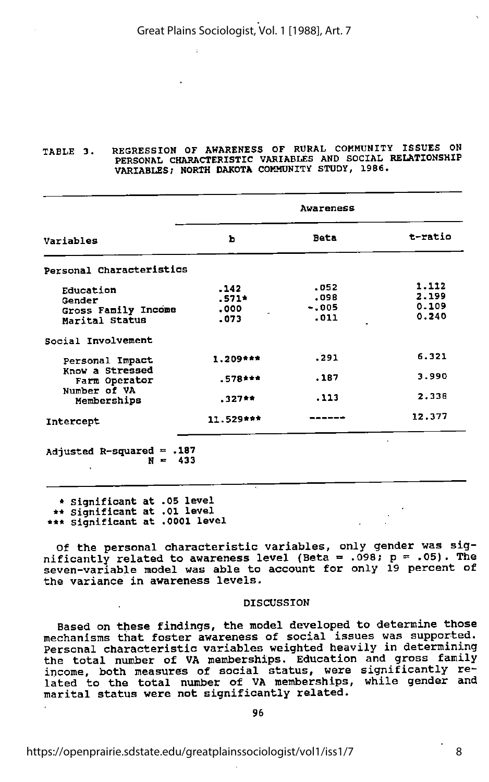#### TABLE 3. REGRESSION OF AWARENESS OF RURAL COMMUNITY ISSUES ON PERSONAL CHARACTERISTIC VARIABLES AND SOCIAL RELATIONSHIP VARIABLES; NORTH DAKOTA COMMUNITY STUDY, 1986.

|                                  | Awareness  |             |         |  |  |
|----------------------------------|------------|-------------|---------|--|--|
| Variables                        | Ъ          | <b>Beta</b> | t-ratio |  |  |
| Personal Characteristics         |            |             |         |  |  |
| Education                        | .142       | .052        | 1.112   |  |  |
| Gender                           | $.571*$    | .098        | 2.199   |  |  |
| Gross Family Income              | .000       | $-.005$     | 0.109   |  |  |
| Marital Status                   | .073       | .011        | 0.240   |  |  |
| Social Involvement               |            |             |         |  |  |
| Personal Impact                  | $1.209***$ | .291        | 6.321   |  |  |
| Know a Stressed<br>Farm Operator | $.578$ *** | .187        | 3.990   |  |  |
| Number of VA<br>Memberships      | $.327**$   | .113        | 2.338   |  |  |
| Intercept                        | 11.529***  |             | 12.377  |  |  |

\* Significant at .05 level \*\* significant at .01 level \*\*\* significant at .0001 level

Of the personal characteristic variables, only gender was sig nificantly related to awareness level (Beta = .098;  $p = .05$ ). The seven-variable model was able to account for only 19 percent of the variance in awareness levels.

#### DISCUSSION

Based on these findings, the model developed to determine those mechanisms that foster awareness of social issues was supported. Personal characteristic variables weighted heavily in determining the total number of VA memberships. Education and gross family income, both measures of social status, were significantly related to the total number of VA memberships, while gender and marital status were not significantly related.

96

https://openprairie.sdstate.edu/greatplainssociologist/vol1/iss1/7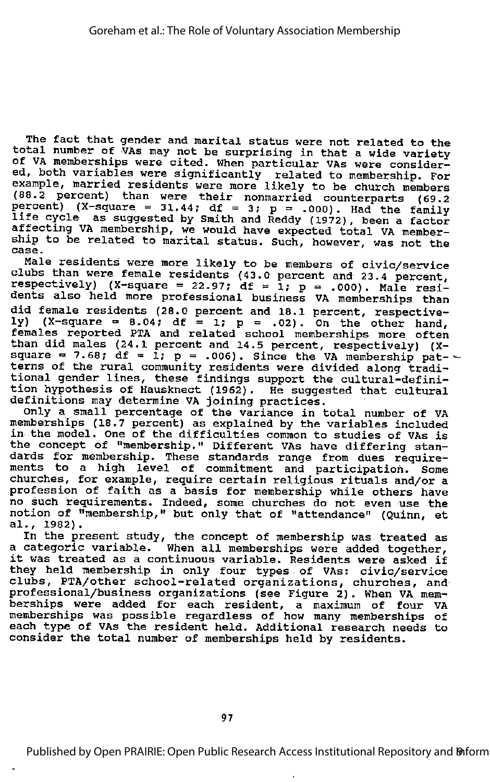The fact that gender and marital status were not related to the total number of VAs may not be surprising in that a wide variety of VA memberships were cited. When particular VAs were consider ed, both variables were significantly related to membership. For example, married residents were more likely to be church members (88.2 percent) than were their nonmarried counterparts (69.2 percent) (X-square = 31.44; df = 3; p = .000). Had the family life cycle as suggested by Smith and Reddy (1972), been a factor affecting VA membership, we would have expected total VA member ship to be related to marital status. Such, however, was not the case.

Male residents were more likely to be members of civic/service clubs than were female residents (43.0 percent and 23.4 percent, respectively) (X-square = 22.97; df = 1; p = .000). Male residents also held more professional business VA memberships than did female residents (28.0 percent and 18.1 percent, respective ly)  $(X-square = 8.04; df = 1; p = .02)$ . On the other hand, females reported PTA and related school memberships more often than did males (24.1 percent and 14.5 percent, respectively) (Xsquare  $= 7.68$ ; df  $= 1$ ;  $p = .006$ ). Since the VA membership pat terns of the rural community residents were divided along tradi tional gender lines, these findings support the cultural-defini tion hypothesis of Hausknect (1962). He suggested that cultural definitions may determine VA joining practices.

only <sup>a</sup> small percentage of the variance in total number of VA memberships (18.7 percent) as explained by the variables included<br>in the model. One of the difficulties common to studies of VAs is the concept of "membership." Different VAs have differing stan dards for membership. These standards range from dues require ments to a high level of commitment and participation. Some churches, for example, require certain religious rituals and/or a profession of faith as <sup>a</sup> basis for membership while others have no such requirements. Indeed, some churches do not even use the no such requirements. Indeed, some churches do not even use the<br>notion of "membership," but only that of "attendance" (Quinn, et al., 1982).

In the present study, the concept of membership was treated as <sup>a</sup> categoric variable. When all memberships were added together, it was treated as <sup>a</sup> continuous variable. Residents were asked if they held membership in only four types of VAs: civic/service clubs, PTA/other school-related organizations, churches, and professional/business organizations (see Figure 2). When VA mem berships were added for each resident, a maximum of four VA memberships was possible regardless of how many memberships of each type of VAs the resident held. Additional research needs to consider the total number of memberships held by residents.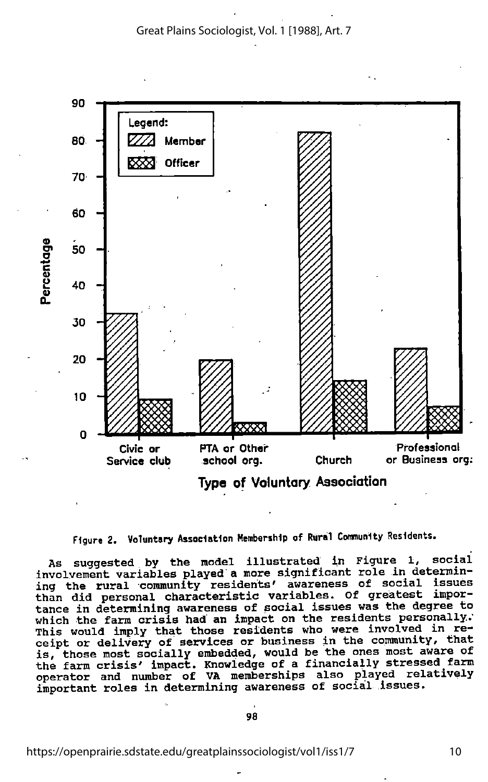



As suggested by the model illustrated in Figure 1, social involvement variables played a more significant role in determin ing the rural community residents' awareness of social issues than did personal characteristic variables. Of greatest impor tance in determining awareness of social issues was the degree to which the farm crisis had an impact on the residents personally. This would imply that those residents who were involved in receipt or delivery of services or business in the community, that is, those most socially embedded, would be the ones most aware of the farm crisis' impact. Knowledge of a financially stressed farm operator and number of VA memberships also played relatively important roles in determining awareness of social issues.

98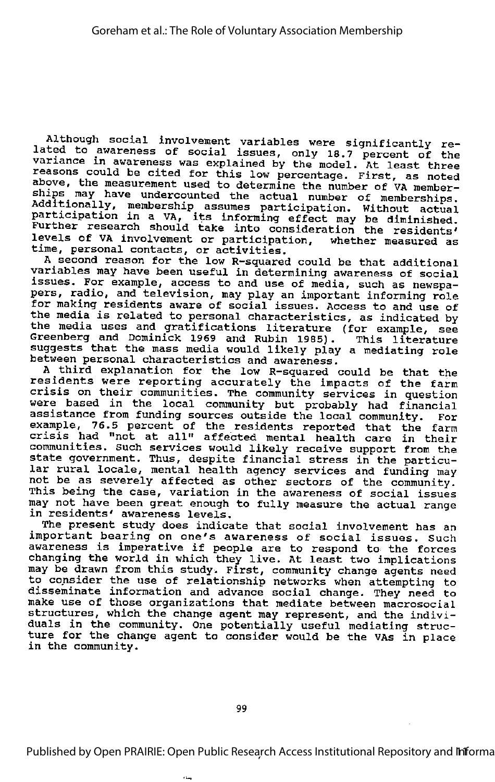Although social involvement variables were significantly re lated to awareness of social issues, only 18.7 percent of the variance in awareness was explained by the model. At least three reasons could be cited for this low percentage. First, as noted -dessile could be cited for this fow percentage. First, as noted<br>above, the measurement used to determine the number of VA memberships may have undercounted the actual number of member-<br>Additionally, membership assumes participation. Without actual participation in a VA, its informing effect may be diminished. Further research should take into consideration the residents' levels of VA involvement or participation, whether measured as time, personal contacts, or activities.

<sup>A</sup> second reason for the low R-squared could be that additional variables may have been useful in determining awareness of social issues. For example, access to and use of media, such as newspa pers, radio, and television, may play an important informing role for making residents aware of social issues. Access to and use of the media is related to personal characteristics, as indicated by the media uses and gratifications literature (for example, see The media about and gradifications fitterature (for example, see<br>Greenberg and Dominick 1969 and Rubin 1985). This literature successions with the mass media would likely play a mediating role between personal characteristics and awareness.

A third explanation for the low R-squared could be that the residents were reporting accurately the impacts of the farm crisis on their communities. The community services in question were based in the local community but probably had financial assistance from funding sources outside the local community. For example, 76.5 percent of the residents reported that the farm crumpic, fold percent of the residents reported that the farm<br>crisis had "not at all" affected mental health care in their communities, such services would likely receive support from the state government. Thus, despite financial stress in the particu lar rural locale, mental health agency services and funding may not be as severely affected as other sectors of the community. This being the case, variation in the awareness of social issues may not have been great enough to fully measure the actual range in residents' awareness levels.

The present study does indicate that social involvement has an important bearing on one's awareness of social issues. Such important bearing on one's awareness or social issues. Such<br>awareness is imperative if people are to respond to the forces avarences is imperative if people are to respond to the forces<br>changing the world in which they live. At least two implications may be drawn from this study. First, community change agents need to consider the use of relationship networks when attempting to disseminate information and advance social change. They need to make use of those organizations that mediate between macrosocial structures, which the change agent may represent, and the indivi duals in the community. One potentially useful mediating struc ture for the change agent to consider would be the VAs in place in the community.

Published by Open PRAIRIE: Open Public Research Access Institutional Repository and Infforma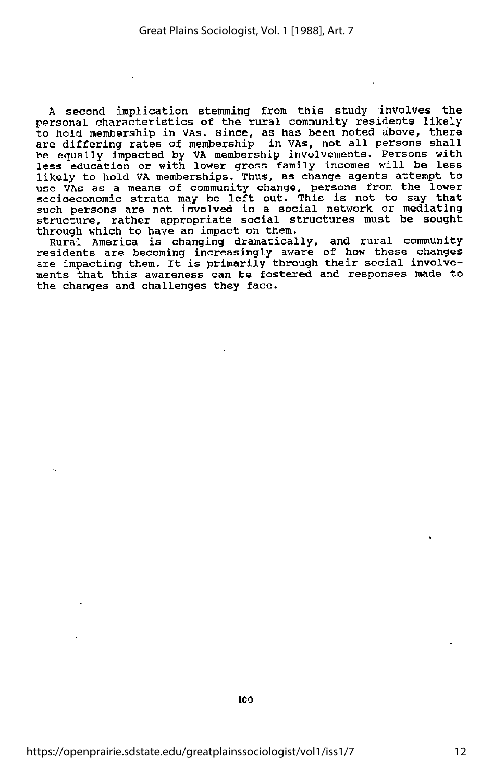A second implication stemming from this study involves the personal characteristics of the rural community residents likely to hold membership in VAs. Since, as has been noted above, there are differing rates of membership in VAs, not all persons shall be equally impacted by VA membership involvements. Persons with less education or with lower gross family incomes will be less likely to hold VA memberships. Thus, as change agents attempt to use VAs as <sup>a</sup> means of community change, persons from the lower socioeconomic strata may be left out. This is not to say that such persons are not involved in a social network or mediating structure, rather appropriate social structures must be sought through which to have an impact on them.

Rural America is changing dramatically, and rural community residents are becoming increasingly aware of how these changes are impacting them. It is primarily through their social involve ments that this awareness can be fostered and responses made to the changes and challenges they face.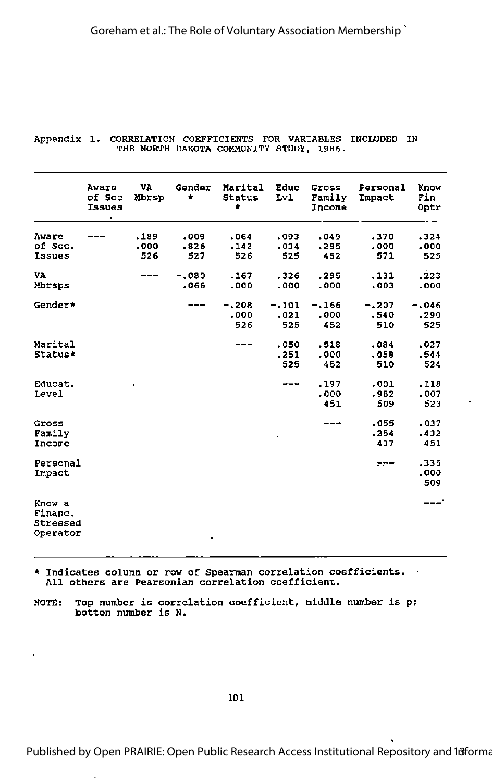|                                           | Aware<br>of Soc<br><b>Issues</b> | VA<br>Mbrsp         | Gender<br>۰         | Marital<br><b>Status</b><br>٠ | Educ<br>Lv1            | Gross<br>Family<br>Income | Personal<br>Impact     | Know<br>Fin<br>Optr    |
|-------------------------------------------|----------------------------------|---------------------|---------------------|-------------------------------|------------------------|---------------------------|------------------------|------------------------|
| Aware<br>of Soc.<br>Issues                |                                  | .189<br>.000<br>526 | .009<br>.826<br>527 | .064<br>.142<br>526           | .093<br>.034<br>525    | 049ء<br>.295<br>452       | .370<br>.000<br>571    | .324<br>.000<br>525    |
| VA<br>Mbrsps                              |                                  | ---                 | $-.080$<br>.066     | .167<br>.000                  | .326<br>.000           | .295<br>.000              | .131<br>.003           | .223<br>.000           |
| Gender*                                   |                                  |                     |                     | $-.208$<br>.000<br>526        | $-.101$<br>.021<br>525 | $-.166$<br>.000<br>452    | $-.207$<br>.540<br>510 | $-.046$<br>.290<br>525 |
| Marital<br>Status*                        |                                  |                     |                     |                               | .050<br>.251<br>525    | .518<br>.000<br>452       | .084<br>.058<br>510    | .027<br>.544<br>524    |
| Educat.<br>Level                          |                                  |                     |                     |                               | ---                    | .197<br>.000<br>451       | .001<br>.982<br>509    | .118<br>.007<br>523    |
| Gross<br>Family<br>Income                 |                                  |                     |                     |                               |                        |                           | .055<br>.254<br>437    | .037<br>.432<br>451    |
| Personal<br>Impact                        |                                  |                     |                     |                               |                        |                           | ---                    | .335<br>.000<br>509    |
| Know a<br>Financ.<br>Stressed<br>Operator |                                  |                     | $\bullet$           |                               |                        |                           |                        | ---'                   |

#### Appendix 1. CORRELATION COEFFICIENTS FOR VARIABLES INCLUDED IN THE NORTH DAKOTA COMMUNITY STUDY, 1986.

\* Indicates column or row of Spearman correlation coefficients. All others are Pearsonian correlation coefficient.

NOTE: Top number is correlation coefficient, middle number is pj bottom number is N.

Published by Open PRAIRIE: Open Public Research Access Institutional Repository and Informa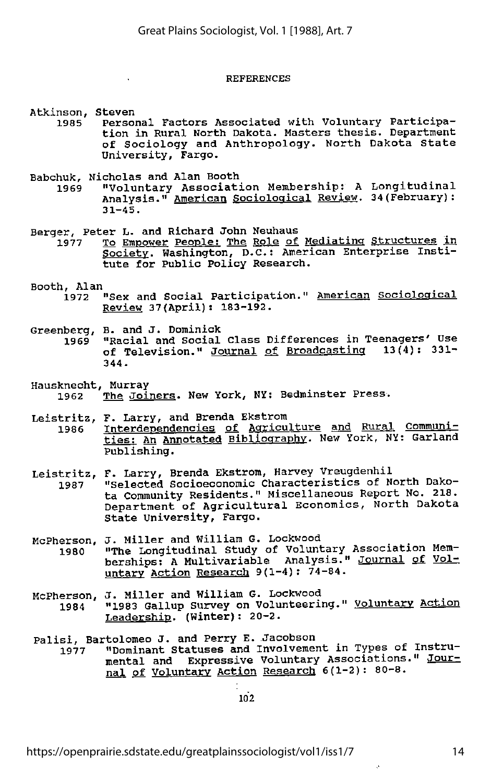#### REFERENCES

Atkinson, Steven<br>1985 – Person

- Personal Factors Associated with Voluntary Participation in Rural North Dakota. Masters thesis. Department of Sociology and Anthropology. North Dakota State University, Fargo.
- Babchuk, Nicholas and Alan Booth

**Contract** 

- 1969 "Voluntary Association Membership: A Longitudinal Analysis." American Sociological Review. 34(February):  $31 - 45.$
- Berger, Peter L. and Richard John Neuhaus<br>1977 To Empower People: The Role of
	- To Empower People: The Role of Mediating Structures in Society. Washington, D.C.: American Enterprise Insti tute for Public Policy Research.
- Booth, Alan<br>1972
	- 1972 "Sex and Social Participation." American Sociological Review 37(April): 183-192.
- Greenberg, B. and J. Dominick<br>1969 "Racial and Social
	- 1969 "Racial and Social Class Differences in Teenagers' Use of Television." Journal of Broadcasting 13(4): 331-344.
- Hausknecht, Murray The Joiners. New York, NY: Bedminster Press.
- Leistritz, F. Larry, and Brenda Ekstrom<br>1986 Interdependencies of Agricu Interdependencies of Agriculture and Rural Communities: An Annotated Bibliography. New York, NY: Garland Publishing.
- Leistritz, F. Larry, Brenda Ekstrom, Harvey Vreugdenhil<br>1987 Selected Socioeconomic Characteristics of N 1987 "Selected Socioeconomic Characteristics of North Dako ta Community Residents." Miscellaneous Report No. 218. Department of Agricultural Economics, North Dakota State University, Fargo.
- McPherson, J. Miller and William G. Lockwood 1980 "The Longitudinal Study of Voluntary Association Mem berships: A Multivariable Analysis." Journal of Vol untary Action Research 9(1-4): 74-84.
- McPherson, J. Miller and William G. Lockwood<br>1984 **1983 Gallup Survey on Volunteeri** 1984 "1983 Gallup Survey on Volunteering." Voluntary Action Leadership. (Winter): 20-2.
- Palisi, Bartolomeo J. and Perry E. Jacobson
	- "Dominant Statuses and Involvement in Types of Instrumental and Expressive Voluntary Associations." Journal of Voluntary Action Research 6(1-2): 80-8.